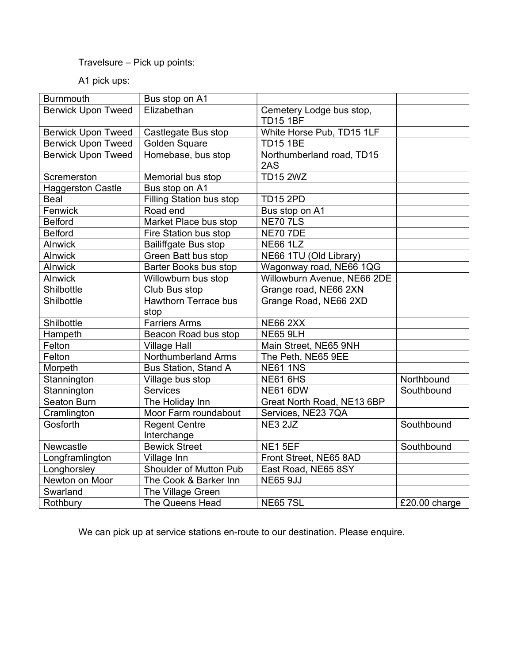## Travelsure – Pick up points:

## A1 pick ups:

| <b>Burnmouth</b>          | Bus stop on A1                  |                             |               |
|---------------------------|---------------------------------|-----------------------------|---------------|
| <b>Berwick Upon Tweed</b> | Elizabethan                     | Cemetery Lodge bus stop,    |               |
|                           |                                 | <b>TD15 1BF</b>             |               |
| <b>Berwick Upon Tweed</b> | Castlegate Bus stop             | White Horse Pub, TD15 1LF   |               |
| <b>Berwick Upon Tweed</b> | <b>Golden Square</b>            | <b>TD15 1BE</b>             |               |
| <b>Berwick Upon Tweed</b> | Homebase, bus stop              | Northumberland road, TD15   |               |
|                           |                                 | 2AS                         |               |
| Scremerston               | Memorial bus stop               | <b>TD15 2WZ</b>             |               |
| <b>Haggerston Castle</b>  | Bus stop on A1                  |                             |               |
| Beal                      | <b>Filling Station bus stop</b> | <b>TD15 2PD</b>             |               |
| Fenwick                   | Road end                        | Bus stop on A1              |               |
| <b>Belford</b>            | Market Place bus stop           | <b>NE70 7LS</b>             |               |
| <b>Belford</b>            | Fire Station bus stop           | <b>NE70 7DE</b>             |               |
| <b>Alnwick</b>            | <b>Bailiffgate Bus stop</b>     | <b>NE66 1LZ</b>             |               |
| <b>Alnwick</b>            | Green Batt bus stop             | NE66 1TU (Old Library)      |               |
| <b>Alnwick</b>            | <b>Barter Books bus stop</b>    | Wagonway road, NE66 1QG     |               |
| <b>Alnwick</b>            | Willowburn bus stop             | Willowburn Avenue, NE66 2DE |               |
| Shilbottle                | Club Bus stop                   | Grange road, NE66 2XN       |               |
| Shilbottle                | <b>Hawthorn Terrace bus</b>     | Grange Road, NE66 2XD       |               |
|                           | stop                            |                             |               |
| Shilbottle                | <b>Farriers Arms</b>            | <b>NE66 2XX</b>             |               |
| Hampeth                   | Beacon Road bus stop            | <b>NE65 9LH</b>             |               |
| Felton                    | <b>Village Hall</b>             | Main Street, NE65 9NH       |               |
| Felton                    | <b>Northumberland Arms</b>      | The Peth, NE65 9EE          |               |
| Morpeth                   | Bus Station, Stand A            | <b>NE61 1NS</b>             |               |
| Stannington               | Village bus stop                | <b>NE61 6HS</b>             | Northbound    |
| Stannington               | <b>Services</b>                 | <b>NE61 6DW</b>             | Southbound    |
| Seaton Burn               | The Holiday Inn                 | Great North Road, NE13 6BP  |               |
| Cramlington               | Moor Farm roundabout            | Services, NE23 7QA          |               |
| Gosforth                  | <b>Regent Centre</b>            | NE3 2JZ                     | Southbound    |
|                           | Interchange                     |                             |               |
| Newcastle                 | <b>Bewick Street</b>            | NE1 5EF                     | Southbound    |
| Longframlington           | Village Inn                     | Front Street, NE65 8AD      |               |
| Longhorsley               | Shoulder of Mutton Pub          | East Road, NE65 8SY         |               |
| Newton on Moor            | The Cook & Barker Inn           | <b>NE65 9JJ</b>             |               |
| Swarland                  | The Village Green               |                             |               |
| Rothbury                  | The Queens Head                 | <b>NE65 7SL</b>             | £20.00 charge |

We can pick up at service stations en-route to our destination. Please enquire.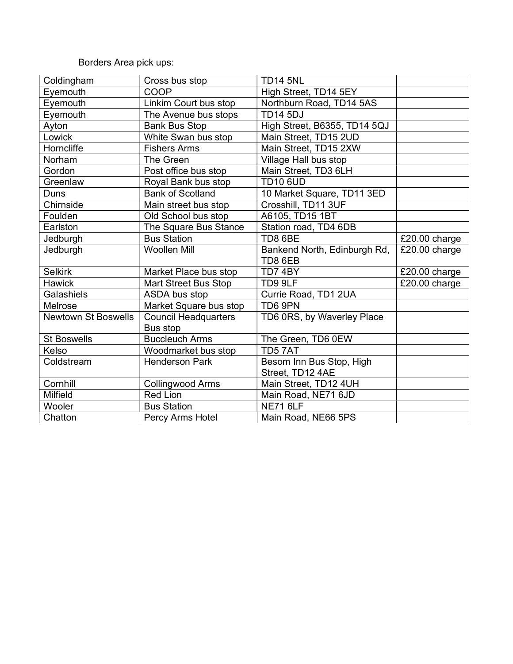## Borders Area pick ups:

| Coldingham                 | Cross bus stop                                 | <b>TD14 5NL</b>                         |               |
|----------------------------|------------------------------------------------|-----------------------------------------|---------------|
| Eyemouth                   | <b>COOP</b>                                    | High Street, TD14 5EY                   |               |
| Eyemouth                   | Linkim Court bus stop                          | Northburn Road, TD14 5AS                |               |
| Eyemouth                   | The Avenue bus stops                           | <b>TD14 5DJ</b>                         |               |
| Ayton                      | <b>Bank Bus Stop</b>                           | High Street, B6355, TD14 5QJ            |               |
| Lowick                     | White Swan bus stop                            | Main Street, TD15 2UD                   |               |
| Horncliffe                 | <b>Fishers Arms</b>                            | Main Street, TD15 2XW                   |               |
| Norham                     | The Green                                      | Village Hall bus stop                   |               |
| Gordon                     | Post office bus stop                           | Main Street, TD3 6LH                    |               |
| Greenlaw                   | Royal Bank bus stop                            | <b>TD10 6UD</b>                         |               |
| Duns                       | <b>Bank of Scotland</b>                        | 10 Market Square, TD11 3ED              |               |
| Chirnside                  | Main street bus stop                           | Crosshill, TD11 3UF                     |               |
| Foulden                    | Old School bus stop                            | A6105, TD15 1BT                         |               |
| Earlston                   | The Square Bus Stance                          | Station road, TD4 6DB                   |               |
| Jedburgh                   | <b>Bus Station</b>                             | TD8 6BE                                 | £20.00 charge |
| Jedburgh                   | <b>Woollen Mill</b>                            | Bankend North, Edinburgh Rd,<br>TD8 6EB | £20.00 charge |
| <b>Selkirk</b>             | Market Place bus stop                          | TD74BY                                  | £20.00 charge |
| <b>Hawick</b>              | <b>Mart Street Bus Stop</b>                    | TD9 9LF                                 | £20.00 charge |
| Galashiels                 | ASDA bus stop                                  | Currie Road, TD1 2UA                    |               |
| Melrose                    | Market Square bus stop                         | TD6 9PN                                 |               |
| <b>Newtown St Boswells</b> | <b>Council Headquarters</b><br><b>Bus stop</b> | TD6 0RS, by Waverley Place              |               |
| <b>St Boswells</b>         | <b>Buccleuch Arms</b>                          | The Green, TD6 0EW                      |               |
| Kelso                      | Woodmarket bus stop                            | TD57AT                                  |               |
| Coldstream                 | <b>Henderson Park</b>                          | Besom Inn Bus Stop, High                |               |
|                            |                                                | Street, TD12 4AE                        |               |
| Cornhill                   | <b>Collingwood Arms</b>                        | Main Street, TD12 4UH                   |               |
| Milfield                   | <b>Red Lion</b>                                | Main Road, NE71 6JD                     |               |
| Wooler                     | <b>Bus Station</b>                             | <b>NE71 6LF</b>                         |               |
| Chatton                    | Percy Arms Hotel                               | Main Road, NE66 5PS                     |               |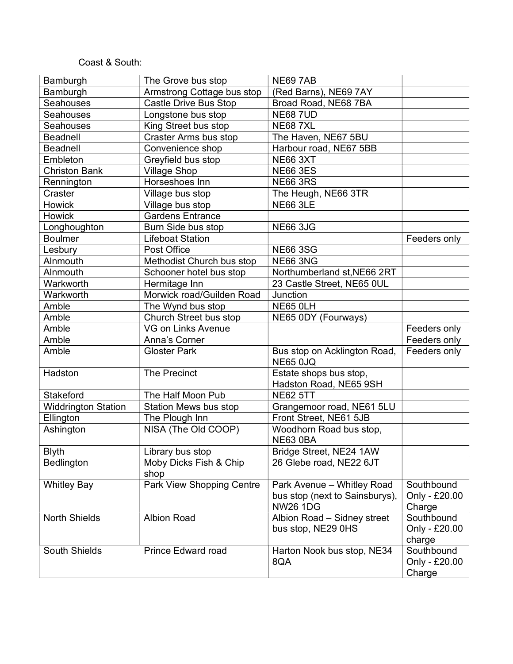## Coast & South:

| Bamburgh                   | The Grove bus stop             | <b>NE69 7AB</b>                                                                 |                                       |
|----------------------------|--------------------------------|---------------------------------------------------------------------------------|---------------------------------------|
| Bamburgh                   | Armstrong Cottage bus stop     | (Red Barns), NE69 7AY                                                           |                                       |
| <b>Seahouses</b>           | Castle Drive Bus Stop          | Broad Road, NE68 7BA                                                            |                                       |
| <b>Seahouses</b>           | Longstone bus stop             | <b>NE68 7UD</b>                                                                 |                                       |
| <b>Seahouses</b>           | King Street bus stop           | <b>NE687XL</b>                                                                  |                                       |
| Beadnell                   | <b>Craster Arms bus stop</b>   | The Haven, NE67 5BU                                                             |                                       |
| <b>Beadnell</b>            | Convenience shop               | Harbour road, NE67 5BB                                                          |                                       |
| Embleton                   | Greyfield bus stop             | <b>NE66 3XT</b>                                                                 |                                       |
| <b>Christon Bank</b>       | <b>Village Shop</b>            | <b>NE66 3ES</b>                                                                 |                                       |
| Rennington                 | Horseshoes Inn                 | <b>NE66 3RS</b>                                                                 |                                       |
| Craster                    | Village bus stop               | The Heugh, NE66 3TR                                                             |                                       |
| <b>Howick</b>              | Village bus stop               | <b>NE66 3LE</b>                                                                 |                                       |
| <b>Howick</b>              | <b>Gardens Entrance</b>        |                                                                                 |                                       |
| Longhoughton               | Burn Side bus stop             | <b>NE66 3JG</b>                                                                 |                                       |
| <b>Boulmer</b>             | <b>Lifeboat Station</b>        |                                                                                 | Feeders only                          |
| Lesbury                    | Post Office                    | <b>NE66 3SG</b>                                                                 |                                       |
| Alnmouth                   | Methodist Church bus stop      | <b>NE66 3NG</b>                                                                 |                                       |
| Alnmouth                   | Schooner hotel bus stop        | Northumberland st, NE66 2RT                                                     |                                       |
| Warkworth                  | Hermitage Inn                  | 23 Castle Street, NE65 0UL                                                      |                                       |
| Warkworth                  | Morwick road/Guilden Road      | Junction                                                                        |                                       |
| Amble                      | The Wynd bus stop              | NE65 OLH                                                                        |                                       |
| Amble                      | Church Street bus stop         | NE65 0DY (Fourways)                                                             |                                       |
| Amble                      | <b>VG on Links Avenue</b>      |                                                                                 | Feeders only                          |
| Amble                      | Anna's Corner                  |                                                                                 | Feeders only                          |
| Amble                      | <b>Gloster Park</b>            | Bus stop on Acklington Road,<br><b>NE65 0JQ</b>                                 | Feeders only                          |
| Hadston                    | <b>The Precinct</b>            | Estate shops bus stop,<br>Hadston Road, NE65 9SH                                |                                       |
| Stakeford                  | The Half Moon Pub              | <b>NE62 5TT</b>                                                                 |                                       |
| <b>Widdrington Station</b> | <b>Station Mews bus stop</b>   | Grangemoor road, NE61 5LU                                                       |                                       |
| Ellington                  | The Plough Inn                 | Front Street, NE61 5JB                                                          |                                       |
| Ashington                  | NISA (The Old COOP)            | Woodhorn Road bus stop,<br>NE63 0BA                                             |                                       |
| <b>Blyth</b>               | Library bus stop               | Bridge Street, NE24 1AW                                                         |                                       |
| <b>Bedlington</b>          | Moby Dicks Fish & Chip<br>shop | 26 Glebe road, NE22 6JT                                                         |                                       |
| <b>Whitley Bay</b>         | Park View Shopping Centre      | Park Avenue - Whitley Road<br>bus stop (next to Sainsburys),<br><b>NW26 1DG</b> | Southbound<br>Only - £20.00<br>Charge |
| <b>North Shields</b>       | <b>Albion Road</b>             | Albion Road - Sidney street<br>bus stop, NE29 0HS                               | Southbound<br>Only - £20.00<br>charge |
| <b>South Shields</b>       | <b>Prince Edward road</b>      | Harton Nook bus stop, NE34<br>8QA                                               | Southbound<br>Only - £20.00<br>Charge |